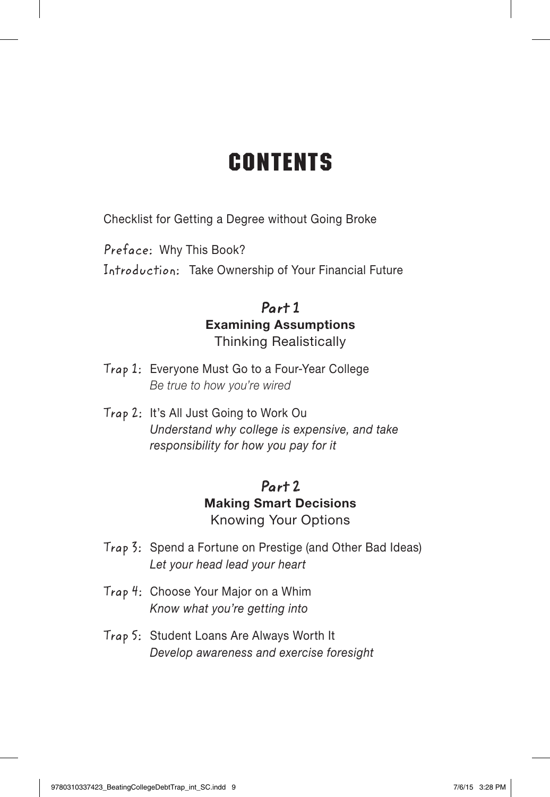# **CONTENTS**

Checklist for Getting a Degree without Going Broke

Preface: Why This Book?

Introduction: Take Ownership of Your Financial Future

## Part 1 Examining Assumptions Thinking Realistically

- Trap 1: Everyone Must Go to a Four-Year College *Be true to how you're wired*
- Trap 2: It's All Just Going to Work Ou *Understand why college is expensive, and take responsibility for how you pay for it*

## Part 2 Making Smart Decisions Knowing Your Options

- Trap 3: Spend a Fortune on Prestige (and Other Bad Ideas) *Let your head lead your heart*
- Trap 4: Choose Your Major on a Whim *Know what you're getting into*
- Trap 5: Student Loans Are Always Worth It *Develop awareness and exercise foresight*